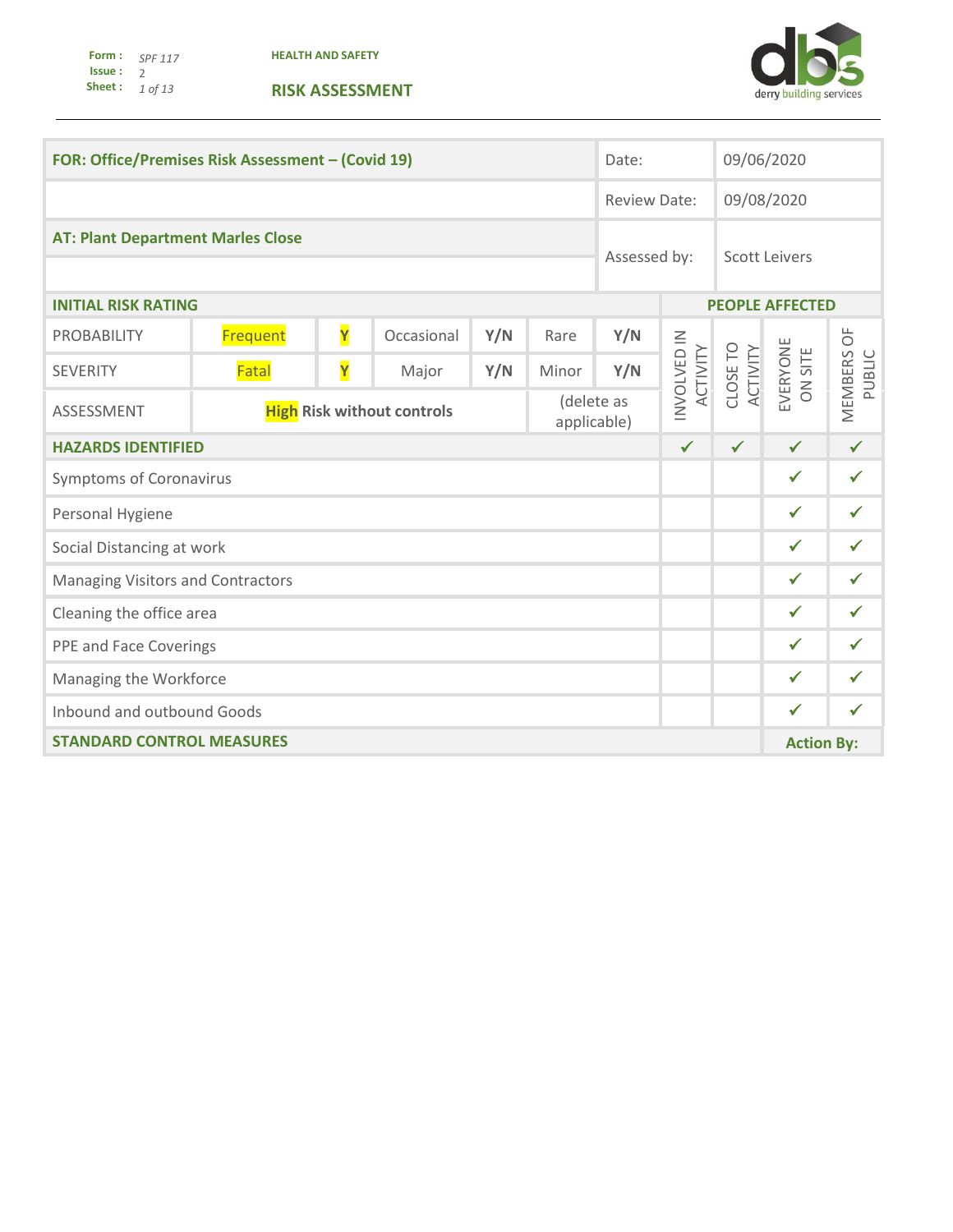**Form : Issue : Sheet :** *SPF 117*  2 *1 of 13* 

**HEALTH AND SAFETY**



| FOR: Office/Premises Risk Assessment - (Covid 19) |                                                                |   |            | Date:                                |                   | 09/06/2020   |                         |                      |                        |        |
|---------------------------------------------------|----------------------------------------------------------------|---|------------|--------------------------------------|-------------------|--------------|-------------------------|----------------------|------------------------|--------|
|                                                   |                                                                |   |            | <b>Review Date:</b>                  |                   |              | 09/08/2020              |                      |                        |        |
| <b>AT: Plant Department Marles Close</b>          |                                                                |   |            | Assessed by:<br><b>Scott Leivers</b> |                   |              |                         |                      |                        |        |
| <b>INITIAL RISK RATING</b>                        |                                                                |   |            |                                      |                   |              |                         |                      | <b>PEOPLE AFFECTED</b> |        |
| <b>PROBABILITY</b>                                | Frequent                                                       | Y | Occasional | Y/N                                  | Rare              | Y/N          |                         |                      |                        |        |
| <b>SEVERITY</b>                                   | Fatal                                                          | Y | Major      | Y/N                                  | Minor             | Y/N          | INVOLVED IN<br>ACTIVITY | CLOSE TO<br>ACTIVITY | EVERYONE<br>ON SITE    | PUBLIC |
| ASSESSMENT                                        | (delete as<br><b>High Risk without controls</b><br>applicable) |   |            |                                      |                   |              |                         |                      | MEMBERS OF             |        |
| <b>HAZARDS IDENTIFIED</b>                         |                                                                |   |            | $\checkmark$                         | $\checkmark$      | $\checkmark$ | $\checkmark$            |                      |                        |        |
| <b>Symptoms of Coronavirus</b>                    |                                                                |   |            |                                      |                   | $\checkmark$ | $\checkmark$            |                      |                        |        |
| Personal Hygiene                                  |                                                                |   |            |                                      |                   | $\checkmark$ | $\checkmark$            |                      |                        |        |
| Social Distancing at work                         |                                                                |   |            |                                      |                   |              |                         |                      | $\checkmark$           | ✓      |
| <b>Managing Visitors and Contractors</b>          |                                                                |   |            |                                      |                   | $\checkmark$ | $\checkmark$            |                      |                        |        |
| Cleaning the office area                          |                                                                |   |            |                                      |                   | $\checkmark$ | ✓                       |                      |                        |        |
| PPE and Face Coverings                            |                                                                |   |            |                                      |                   | $\checkmark$ | ✔                       |                      |                        |        |
| Managing the Workforce                            |                                                                |   |            |                                      |                   | $\checkmark$ | ✓                       |                      |                        |        |
| Inbound and outbound Goods                        |                                                                |   |            |                                      |                   | $\checkmark$ | ✓                       |                      |                        |        |
| <b>STANDARD CONTROL MEASURES</b>                  |                                                                |   |            |                                      | <b>Action By:</b> |              |                         |                      |                        |        |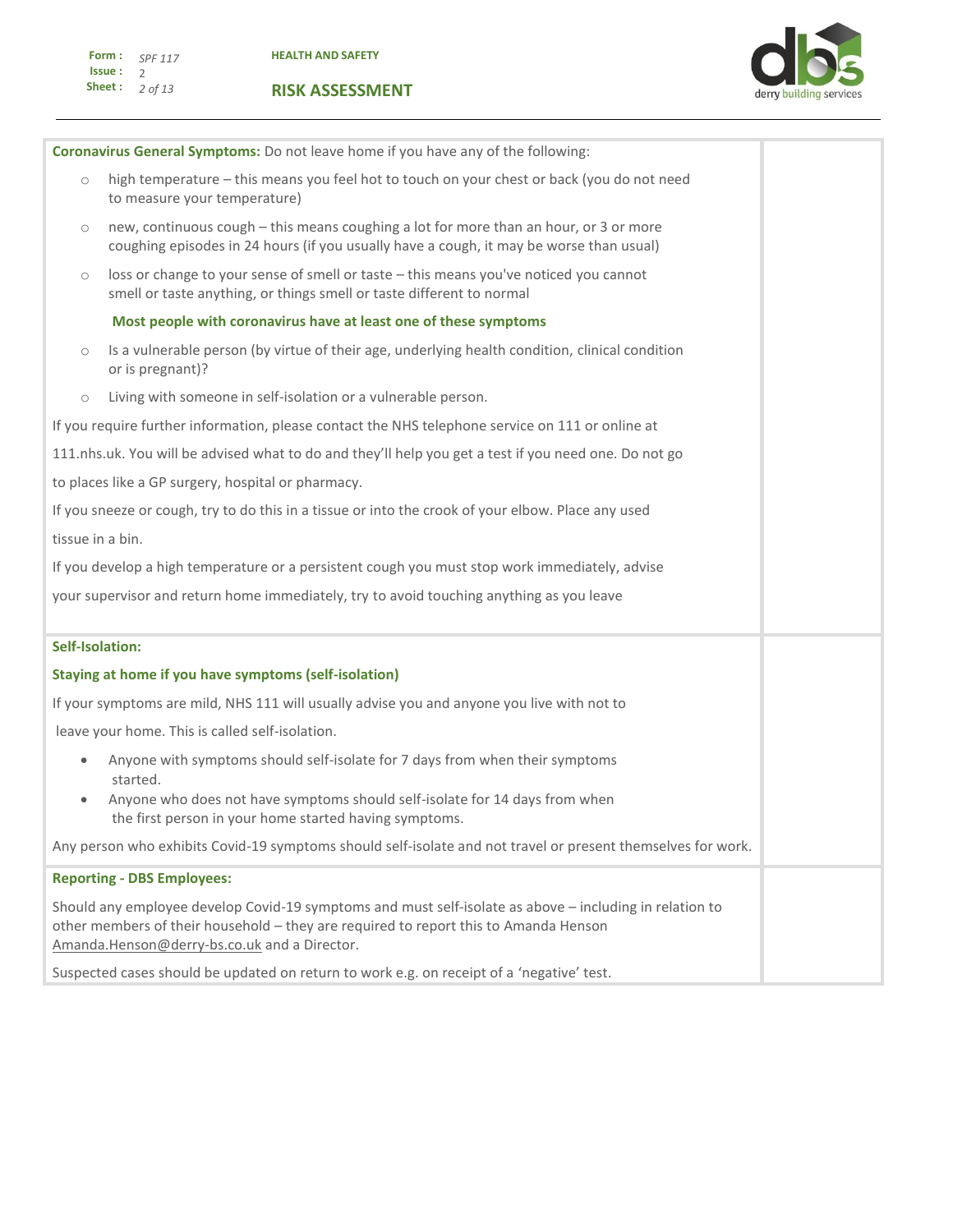

|                        | Coronavirus General Symptoms: Do not leave home if you have any of the following:                                                                                                                                                               |  |  |  |  |
|------------------------|-------------------------------------------------------------------------------------------------------------------------------------------------------------------------------------------------------------------------------------------------|--|--|--|--|
| $\circ$                | high temperature - this means you feel hot to touch on your chest or back (you do not need<br>to measure your temperature)                                                                                                                      |  |  |  |  |
| $\circ$                | new, continuous cough - this means coughing a lot for more than an hour, or 3 or more<br>coughing episodes in 24 hours (if you usually have a cough, it may be worse than usual)                                                                |  |  |  |  |
| $\circlearrowright$    | loss or change to your sense of smell or taste - this means you've noticed you cannot<br>smell or taste anything, or things smell or taste different to normal                                                                                  |  |  |  |  |
|                        | Most people with coronavirus have at least one of these symptoms                                                                                                                                                                                |  |  |  |  |
| $\circ$                | Is a vulnerable person (by virtue of their age, underlying health condition, clinical condition<br>or is pregnant)?                                                                                                                             |  |  |  |  |
| $\circlearrowright$    | Living with someone in self-isolation or a vulnerable person.                                                                                                                                                                                   |  |  |  |  |
|                        | If you require further information, please contact the NHS telephone service on 111 or online at                                                                                                                                                |  |  |  |  |
|                        | 111.nhs.uk. You will be advised what to do and they'll help you get a test if you need one. Do not go                                                                                                                                           |  |  |  |  |
|                        | to places like a GP surgery, hospital or pharmacy.                                                                                                                                                                                              |  |  |  |  |
|                        | If you sneeze or cough, try to do this in a tissue or into the crook of your elbow. Place any used                                                                                                                                              |  |  |  |  |
|                        | tissue in a bin.                                                                                                                                                                                                                                |  |  |  |  |
|                        | If you develop a high temperature or a persistent cough you must stop work immediately, advise                                                                                                                                                  |  |  |  |  |
|                        | your supervisor and return home immediately, try to avoid touching anything as you leave                                                                                                                                                        |  |  |  |  |
| <b>Self-Isolation:</b> |                                                                                                                                                                                                                                                 |  |  |  |  |
|                        | Staying at home if you have symptoms (self-isolation)                                                                                                                                                                                           |  |  |  |  |
|                        | If your symptoms are mild, NHS 111 will usually advise you and anyone you live with not to                                                                                                                                                      |  |  |  |  |
|                        | leave your home. This is called self-isolation.                                                                                                                                                                                                 |  |  |  |  |
| $\bullet$<br>$\bullet$ | Anyone with symptoms should self-isolate for 7 days from when their symptoms<br>started.<br>Anyone who does not have symptoms should self-isolate for 14 days from when                                                                         |  |  |  |  |
|                        | the first person in your home started having symptoms.                                                                                                                                                                                          |  |  |  |  |
|                        | Any person who exhibits Covid-19 symptoms should self-isolate and not travel or present themselves for work.                                                                                                                                    |  |  |  |  |
|                        | <b>Reporting - DBS Employees:</b>                                                                                                                                                                                                               |  |  |  |  |
|                        | Should any employee develop Covid-19 symptoms and must self-isolate as above - including in relation to<br>other members of their household - they are required to report this to Amanda Henson<br>Amanda.Henson@derry-bs.co.uk and a Director. |  |  |  |  |
|                        | Suspected cases should be updated on return to work e.g. on receipt of a 'negative' test.                                                                                                                                                       |  |  |  |  |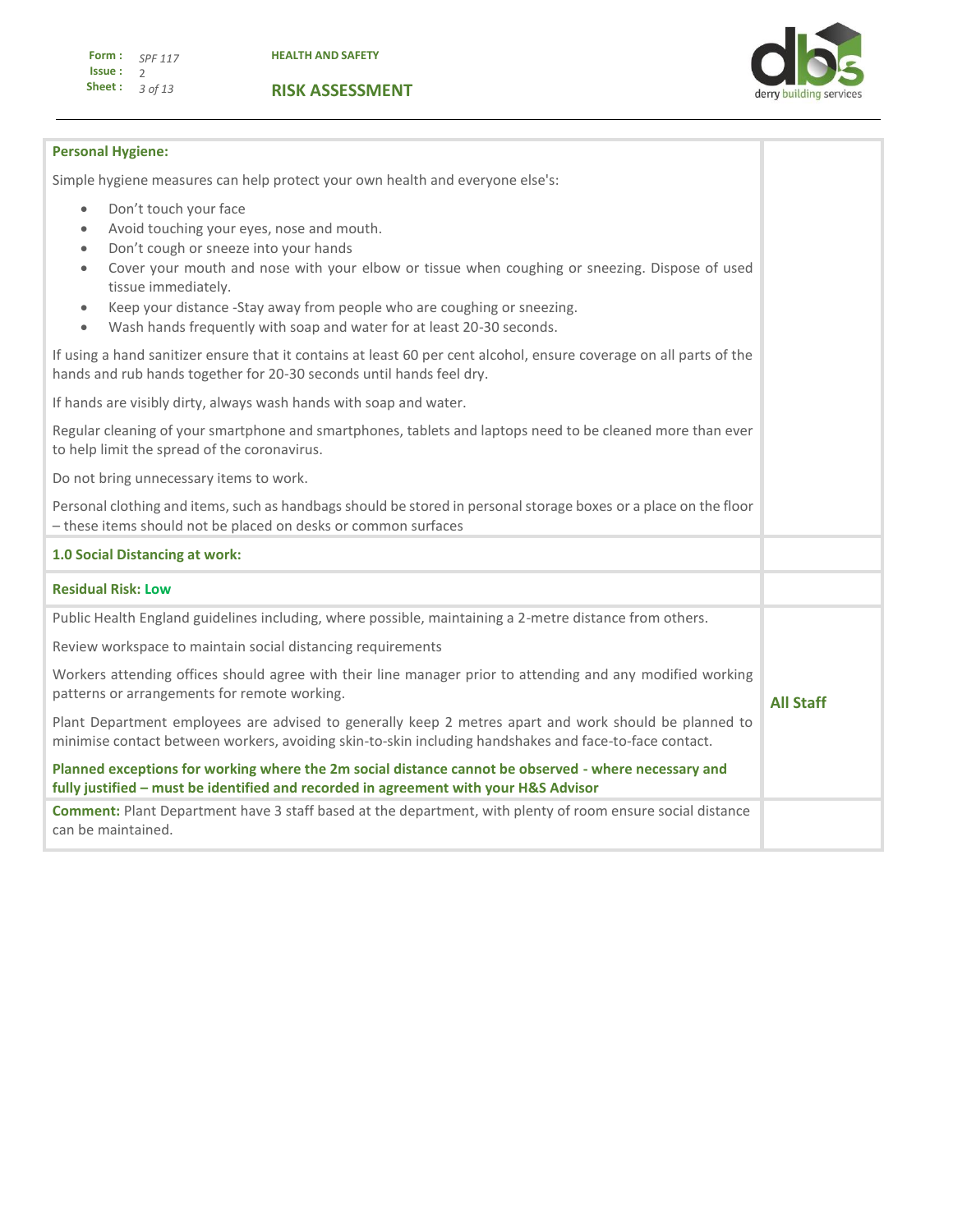

**All Staff**

## **Personal Hygiene:**

Simple hygiene measures can help protect your own health and everyone else's:

- Don't touch your face
- Avoid touching your eyes, nose and mouth.
- Don't cough or sneeze into your hands
- Cover your mouth and nose with your elbow or tissue when coughing or sneezing. Dispose of used tissue immediately.
- Keep your distance -Stay away from people who are coughing or sneezing.
- Wash hands frequently with soap and water for at least 20-30 seconds.

If using a hand sanitizer ensure that it contains at least 60 per cent alcohol, ensure coverage on all parts of the hands and rub hands together for 20-30 seconds until hands feel dry.

If hands are visibly dirty, always wash hands with soap and water.

Regular cleaning of your smartphone and smartphones, tablets and laptops need to be cleaned more than ever to help limit the spread of the coronavirus.

Do not bring unnecessary items to work.

Personal clothing and items, such as handbags should be stored in personal storage boxes or a place on the floor – these items should not be placed on desks or common surfaces

## **1.0 Social Distancing at work:**

## **Residual Risk: Low**

Public Health England guidelines including, where possible, maintaining a 2-metre distance from others.

Review workspace to maintain social distancing requirements

Workers attending offices should agree with their line manager prior to attending and any modified working patterns or arrangements for remote working.

Plant Department employees are advised to generally keep 2 metres apart and work should be planned to minimise contact between workers, avoiding skin-to-skin including handshakes and face-to-face contact.

**Planned exceptions for working where the 2m social distance cannot be observed - where necessary and fully justified – must be identified and recorded in agreement with your H&S Advisor**

**Comment:** Plant Department have 3 staff based at the department, with plenty of room ensure social distance can be maintained.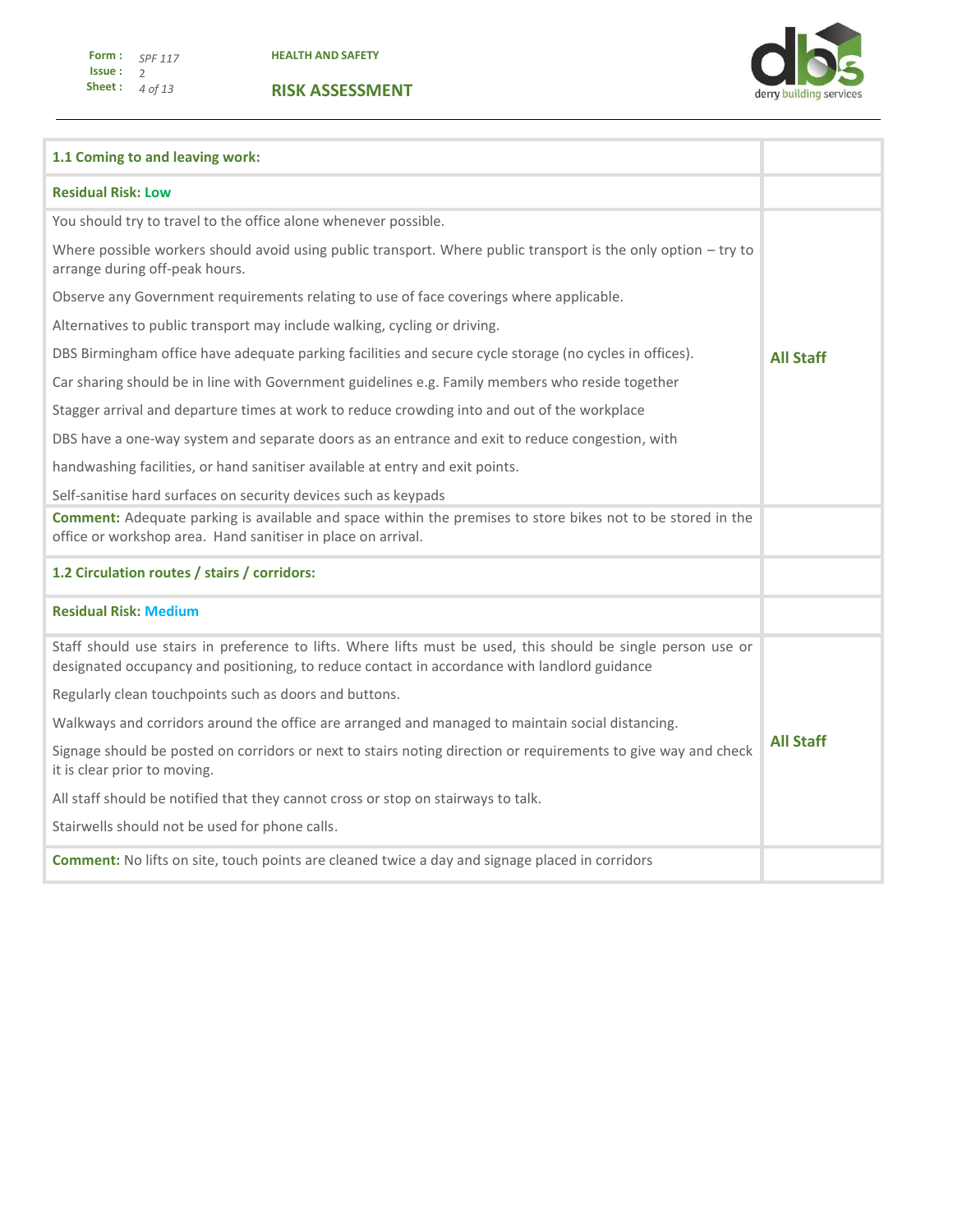

| 1.1 Coming to and leaving work:                                                                                                                                                                               |                  |  |  |  |
|---------------------------------------------------------------------------------------------------------------------------------------------------------------------------------------------------------------|------------------|--|--|--|
| <b>Residual Risk: Low</b>                                                                                                                                                                                     |                  |  |  |  |
| You should try to travel to the office alone whenever possible.                                                                                                                                               |                  |  |  |  |
| Where possible workers should avoid using public transport. Where public transport is the only option - try to<br>arrange during off-peak hours.                                                              |                  |  |  |  |
| Observe any Government requirements relating to use of face coverings where applicable.                                                                                                                       |                  |  |  |  |
| Alternatives to public transport may include walking, cycling or driving.                                                                                                                                     |                  |  |  |  |
| DBS Birmingham office have adequate parking facilities and secure cycle storage (no cycles in offices).                                                                                                       | <b>All Staff</b> |  |  |  |
| Car sharing should be in line with Government guidelines e.g. Family members who reside together                                                                                                              |                  |  |  |  |
| Stagger arrival and departure times at work to reduce crowding into and out of the workplace                                                                                                                  |                  |  |  |  |
| DBS have a one-way system and separate doors as an entrance and exit to reduce congestion, with                                                                                                               |                  |  |  |  |
| handwashing facilities, or hand sanitiser available at entry and exit points.                                                                                                                                 |                  |  |  |  |
| Self-sanitise hard surfaces on security devices such as keypads                                                                                                                                               |                  |  |  |  |
| <b>Comment:</b> Adequate parking is available and space within the premises to store bikes not to be stored in the<br>office or workshop area. Hand sanitiser in place on arrival.                            |                  |  |  |  |
| 1.2 Circulation routes / stairs / corridors:                                                                                                                                                                  |                  |  |  |  |
| <b>Residual Risk: Medium</b>                                                                                                                                                                                  |                  |  |  |  |
| Staff should use stairs in preference to lifts. Where lifts must be used, this should be single person use or<br>designated occupancy and positioning, to reduce contact in accordance with landlord guidance |                  |  |  |  |
| Regularly clean touchpoints such as doors and buttons.                                                                                                                                                        |                  |  |  |  |
| Walkways and corridors around the office are arranged and managed to maintain social distancing.                                                                                                              | <b>All Staff</b> |  |  |  |
| Signage should be posted on corridors or next to stairs noting direction or requirements to give way and check<br>it is clear prior to moving.                                                                |                  |  |  |  |
| All staff should be notified that they cannot cross or stop on stairways to talk.                                                                                                                             |                  |  |  |  |
| Stairwells should not be used for phone calls.                                                                                                                                                                |                  |  |  |  |
| <b>Comment:</b> No lifts on site, touch points are cleaned twice a day and signage placed in corridors                                                                                                        |                  |  |  |  |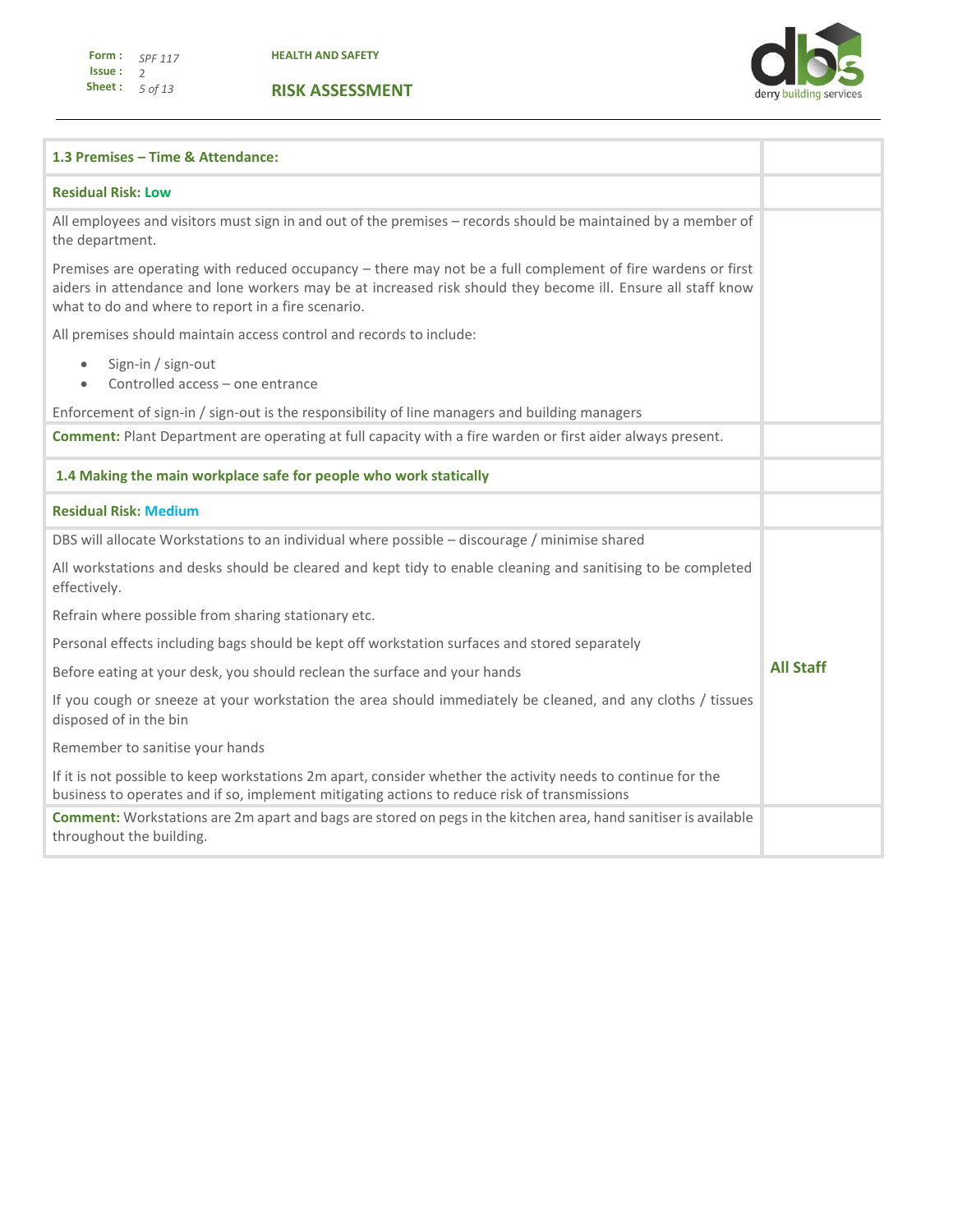**HEALTH AND SAFETY**



| 1.3 Premises - Time & Attendance:                                                                                                                                                                                                                                                 |                  |  |  |
|-----------------------------------------------------------------------------------------------------------------------------------------------------------------------------------------------------------------------------------------------------------------------------------|------------------|--|--|
| <b>Residual Risk: Low</b>                                                                                                                                                                                                                                                         |                  |  |  |
| All employees and visitors must sign in and out of the premises - records should be maintained by a member of<br>the department.                                                                                                                                                  |                  |  |  |
| Premises are operating with reduced occupancy - there may not be a full complement of fire wardens or first<br>aiders in attendance and lone workers may be at increased risk should they become ill. Ensure all staff know<br>what to do and where to report in a fire scenario. |                  |  |  |
| All premises should maintain access control and records to include:                                                                                                                                                                                                               |                  |  |  |
| Sign-in / sign-out<br>$\bullet$<br>Controlled access - one entrance                                                                                                                                                                                                               |                  |  |  |
| Enforcement of sign-in / sign-out is the responsibility of line managers and building managers                                                                                                                                                                                    |                  |  |  |
| <b>Comment:</b> Plant Department are operating at full capacity with a fire warden or first aider always present.                                                                                                                                                                 |                  |  |  |
| 1.4 Making the main workplace safe for people who work statically                                                                                                                                                                                                                 |                  |  |  |
| <b>Residual Risk: Medium</b>                                                                                                                                                                                                                                                      |                  |  |  |
| DBS will allocate Workstations to an individual where possible - discourage / minimise shared                                                                                                                                                                                     |                  |  |  |
| All workstations and desks should be cleared and kept tidy to enable cleaning and sanitising to be completed<br>effectively.                                                                                                                                                      |                  |  |  |
| Refrain where possible from sharing stationary etc.                                                                                                                                                                                                                               |                  |  |  |
| Personal effects including bags should be kept off workstation surfaces and stored separately                                                                                                                                                                                     |                  |  |  |
| Before eating at your desk, you should reclean the surface and your hands                                                                                                                                                                                                         | <b>All Staff</b> |  |  |
| If you cough or sneeze at your workstation the area should immediately be cleaned, and any cloths / tissues<br>disposed of in the bin                                                                                                                                             |                  |  |  |
| Remember to sanitise your hands                                                                                                                                                                                                                                                   |                  |  |  |
| If it is not possible to keep workstations 2m apart, consider whether the activity needs to continue for the<br>business to operates and if so, implement mitigating actions to reduce risk of transmissions                                                                      |                  |  |  |
| Comment: Workstations are 2m apart and bags are stored on pegs in the kitchen area, hand sanitiser is available<br>throughout the building.                                                                                                                                       |                  |  |  |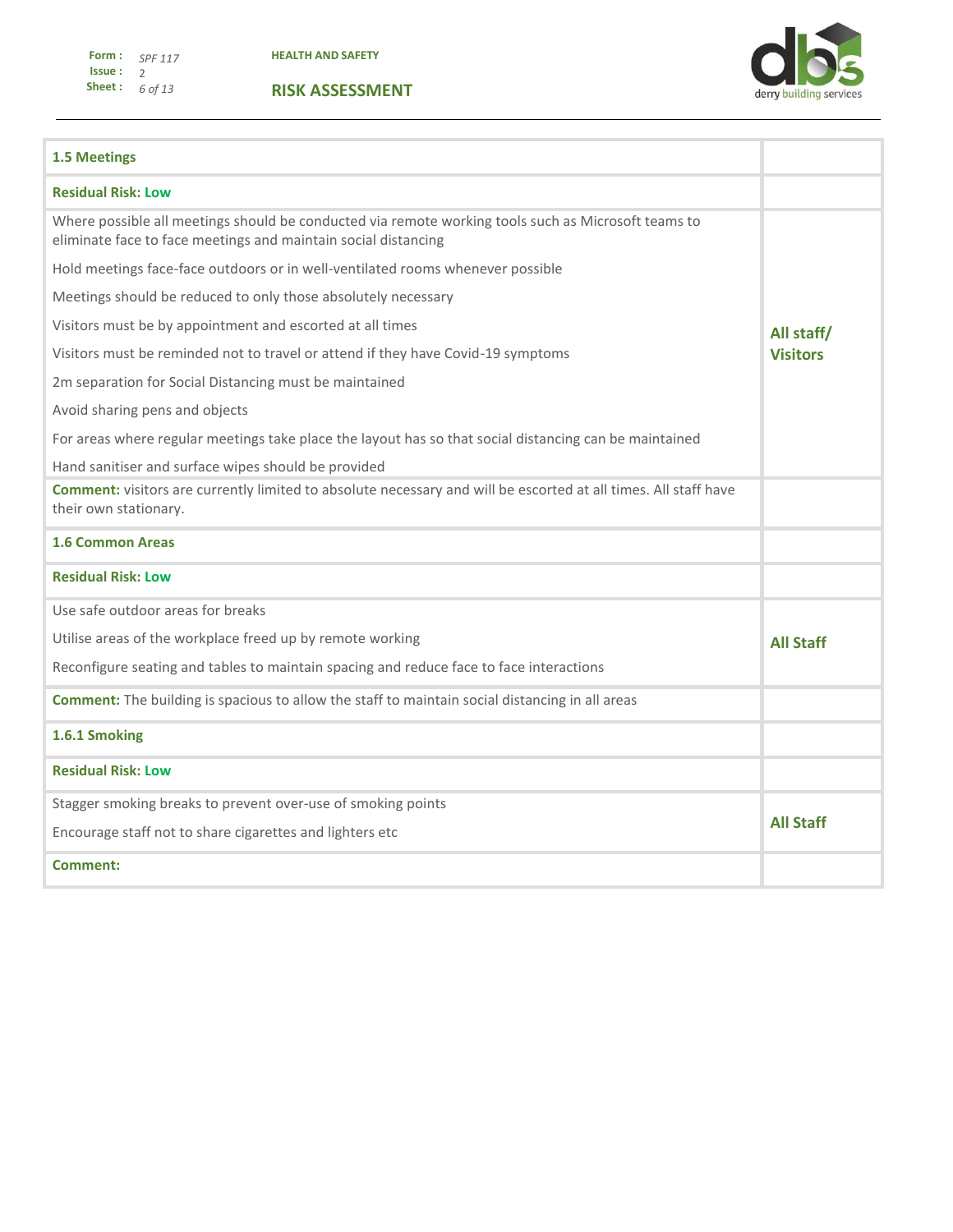

| <b>1.5 Meetings</b>                                                                                                                                                   |                  |
|-----------------------------------------------------------------------------------------------------------------------------------------------------------------------|------------------|
| <b>Residual Risk: Low</b>                                                                                                                                             |                  |
| Where possible all meetings should be conducted via remote working tools such as Microsoft teams to<br>eliminate face to face meetings and maintain social distancing |                  |
| Hold meetings face-face outdoors or in well-ventilated rooms whenever possible                                                                                        |                  |
| Meetings should be reduced to only those absolutely necessary                                                                                                         |                  |
| Visitors must be by appointment and escorted at all times                                                                                                             | All staff/       |
| Visitors must be reminded not to travel or attend if they have Covid-19 symptoms                                                                                      | <b>Visitors</b>  |
| 2m separation for Social Distancing must be maintained                                                                                                                |                  |
| Avoid sharing pens and objects                                                                                                                                        |                  |
| For areas where regular meetings take place the layout has so that social distancing can be maintained                                                                |                  |
| Hand sanitiser and surface wipes should be provided                                                                                                                   |                  |
| <b>Comment:</b> visitors are currently limited to absolute necessary and will be escorted at all times. All staff have<br>their own stationary.                       |                  |
| <b>1.6 Common Areas</b>                                                                                                                                               |                  |
| <b>Residual Risk: Low</b>                                                                                                                                             |                  |
| Use safe outdoor areas for breaks                                                                                                                                     |                  |
| Utilise areas of the workplace freed up by remote working                                                                                                             | <b>All Staff</b> |
| Reconfigure seating and tables to maintain spacing and reduce face to face interactions                                                                               |                  |
| <b>Comment:</b> The building is spacious to allow the staff to maintain social distancing in all areas                                                                |                  |
| 1.6.1 Smoking                                                                                                                                                         |                  |
| <b>Residual Risk: Low</b>                                                                                                                                             |                  |
| Stagger smoking breaks to prevent over-use of smoking points                                                                                                          |                  |
| Encourage staff not to share cigarettes and lighters etc                                                                                                              | <b>All Staff</b> |
| Comment:                                                                                                                                                              |                  |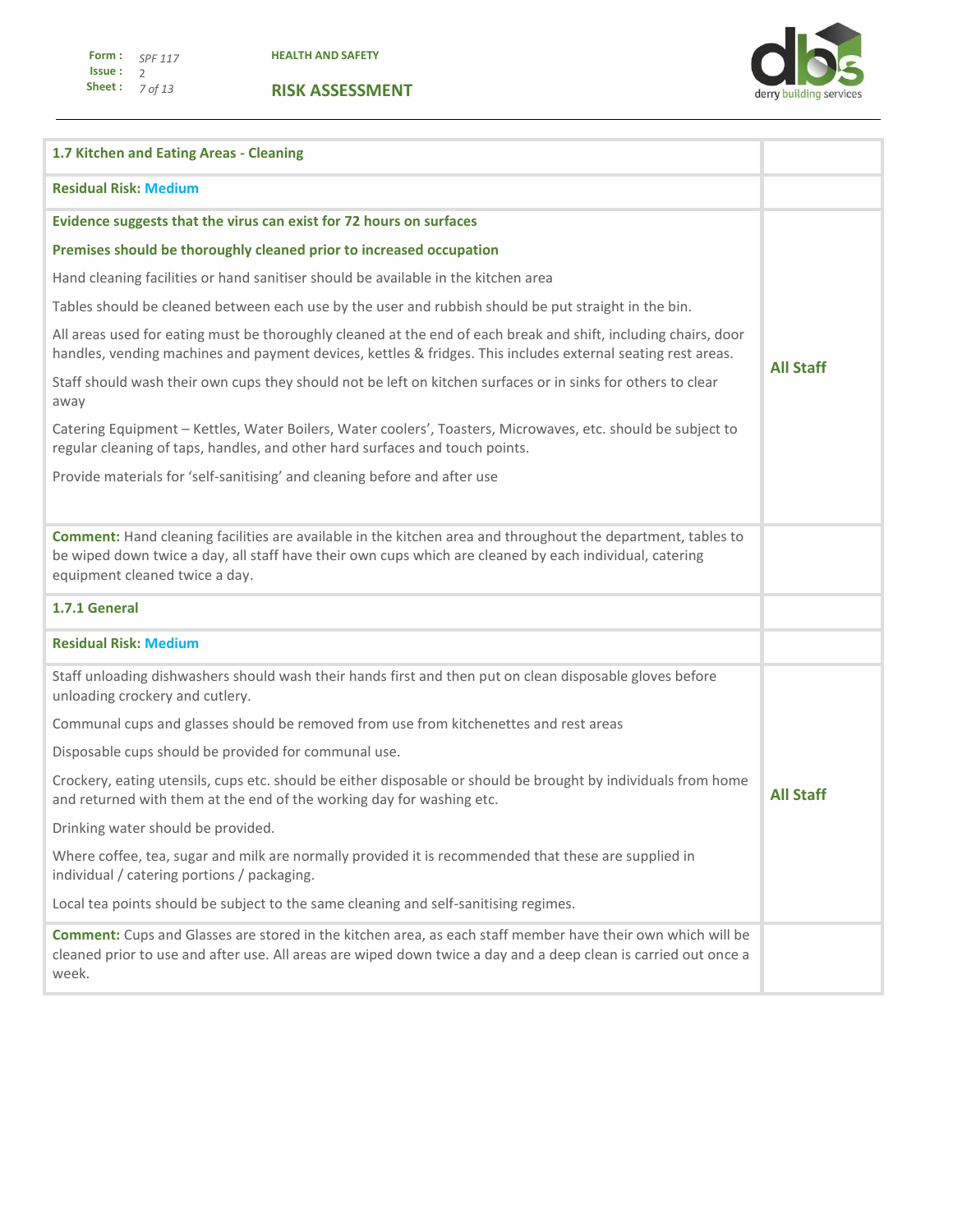

| 1.7 Kitchen and Eating Areas - Cleaning                                                                                                                                                                                                                   |                  |  |
|-----------------------------------------------------------------------------------------------------------------------------------------------------------------------------------------------------------------------------------------------------------|------------------|--|
| <b>Residual Risk: Medium</b>                                                                                                                                                                                                                              |                  |  |
| Evidence suggests that the virus can exist for 72 hours on surfaces                                                                                                                                                                                       |                  |  |
| Premises should be thoroughly cleaned prior to increased occupation                                                                                                                                                                                       |                  |  |
| Hand cleaning facilities or hand sanitiser should be available in the kitchen area                                                                                                                                                                        |                  |  |
| Tables should be cleaned between each use by the user and rubbish should be put straight in the bin.                                                                                                                                                      |                  |  |
| All areas used for eating must be thoroughly cleaned at the end of each break and shift, including chairs, door<br>handles, vending machines and payment devices, kettles & fridges. This includes external seating rest areas.                           |                  |  |
| Staff should wash their own cups they should not be left on kitchen surfaces or in sinks for others to clear<br>away                                                                                                                                      |                  |  |
| Catering Equipment - Kettles, Water Boilers, Water coolers', Toasters, Microwaves, etc. should be subject to<br>regular cleaning of taps, handles, and other hard surfaces and touch points.                                                              |                  |  |
| Provide materials for 'self-sanitising' and cleaning before and after use                                                                                                                                                                                 |                  |  |
|                                                                                                                                                                                                                                                           |                  |  |
| Comment: Hand cleaning facilities are available in the kitchen area and throughout the department, tables to<br>be wiped down twice a day, all staff have their own cups which are cleaned by each individual, catering<br>equipment cleaned twice a day. |                  |  |
| 1.7.1 General                                                                                                                                                                                                                                             |                  |  |
| <b>Residual Risk: Medium</b>                                                                                                                                                                                                                              |                  |  |
| Staff unloading dishwashers should wash their hands first and then put on clean disposable gloves before<br>unloading crockery and cutlery.                                                                                                               |                  |  |
| Communal cups and glasses should be removed from use from kitchenettes and rest areas                                                                                                                                                                     |                  |  |
| Disposable cups should be provided for communal use.                                                                                                                                                                                                      |                  |  |
| Crockery, eating utensils, cups etc. should be either disposable or should be brought by individuals from home<br>and returned with them at the end of the working day for washing etc.                                                                   | <b>All Staff</b> |  |
| Drinking water should be provided.                                                                                                                                                                                                                        |                  |  |
| Where coffee, tea, sugar and milk are normally provided it is recommended that these are supplied in<br>individual / catering portions / packaging.                                                                                                       |                  |  |
| Local tea points should be subject to the same cleaning and self-sanitising regimes.                                                                                                                                                                      |                  |  |
| Comment: Cups and Glasses are stored in the kitchen area, as each staff member have their own which will be<br>cleaned prior to use and after use. All areas are wiped down twice a day and a deep clean is carried out once a<br>week.                   |                  |  |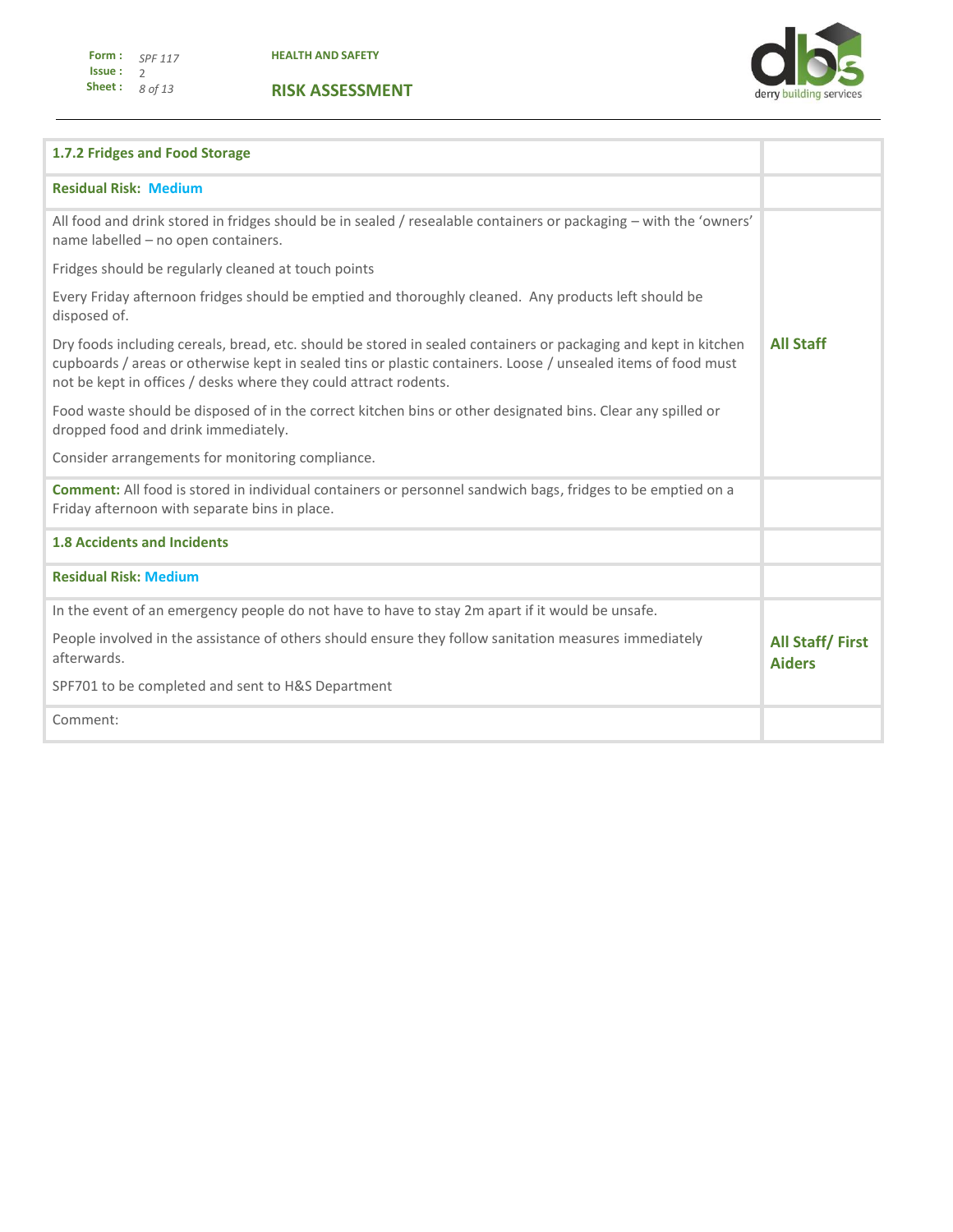

| 1.7.2 Fridges and Food Storage                                                                                                                                                                                                                                                                       |                                         |
|------------------------------------------------------------------------------------------------------------------------------------------------------------------------------------------------------------------------------------------------------------------------------------------------------|-----------------------------------------|
| <b>Residual Risk: Medium</b>                                                                                                                                                                                                                                                                         |                                         |
| All food and drink stored in fridges should be in sealed / resealable containers or packaging – with the 'owners'<br>name labelled - no open containers.                                                                                                                                             |                                         |
| Fridges should be regularly cleaned at touch points                                                                                                                                                                                                                                                  |                                         |
| Every Friday afternoon fridges should be emptied and thoroughly cleaned. Any products left should be<br>disposed of.                                                                                                                                                                                 |                                         |
| Dry foods including cereals, bread, etc. should be stored in sealed containers or packaging and kept in kitchen<br>cupboards / areas or otherwise kept in sealed tins or plastic containers. Loose / unsealed items of food must<br>not be kept in offices / desks where they could attract rodents. | <b>All Staff</b>                        |
| Food waste should be disposed of in the correct kitchen bins or other designated bins. Clear any spilled or<br>dropped food and drink immediately.                                                                                                                                                   |                                         |
| Consider arrangements for monitoring compliance.                                                                                                                                                                                                                                                     |                                         |
| <b>Comment:</b> All food is stored in individual containers or personnel sandwich bags, fridges to be emptied on a<br>Friday afternoon with separate bins in place.                                                                                                                                  |                                         |
| <b>1.8 Accidents and Incidents</b>                                                                                                                                                                                                                                                                   |                                         |
| <b>Residual Risk: Medium</b>                                                                                                                                                                                                                                                                         |                                         |
| In the event of an emergency people do not have to have to stay 2m apart if it would be unsafe.                                                                                                                                                                                                      |                                         |
| People involved in the assistance of others should ensure they follow sanitation measures immediately<br>afterwards.                                                                                                                                                                                 | <b>All Staff/First</b><br><b>Aiders</b> |
| SPF701 to be completed and sent to H&S Department                                                                                                                                                                                                                                                    |                                         |
| Comment:                                                                                                                                                                                                                                                                                             |                                         |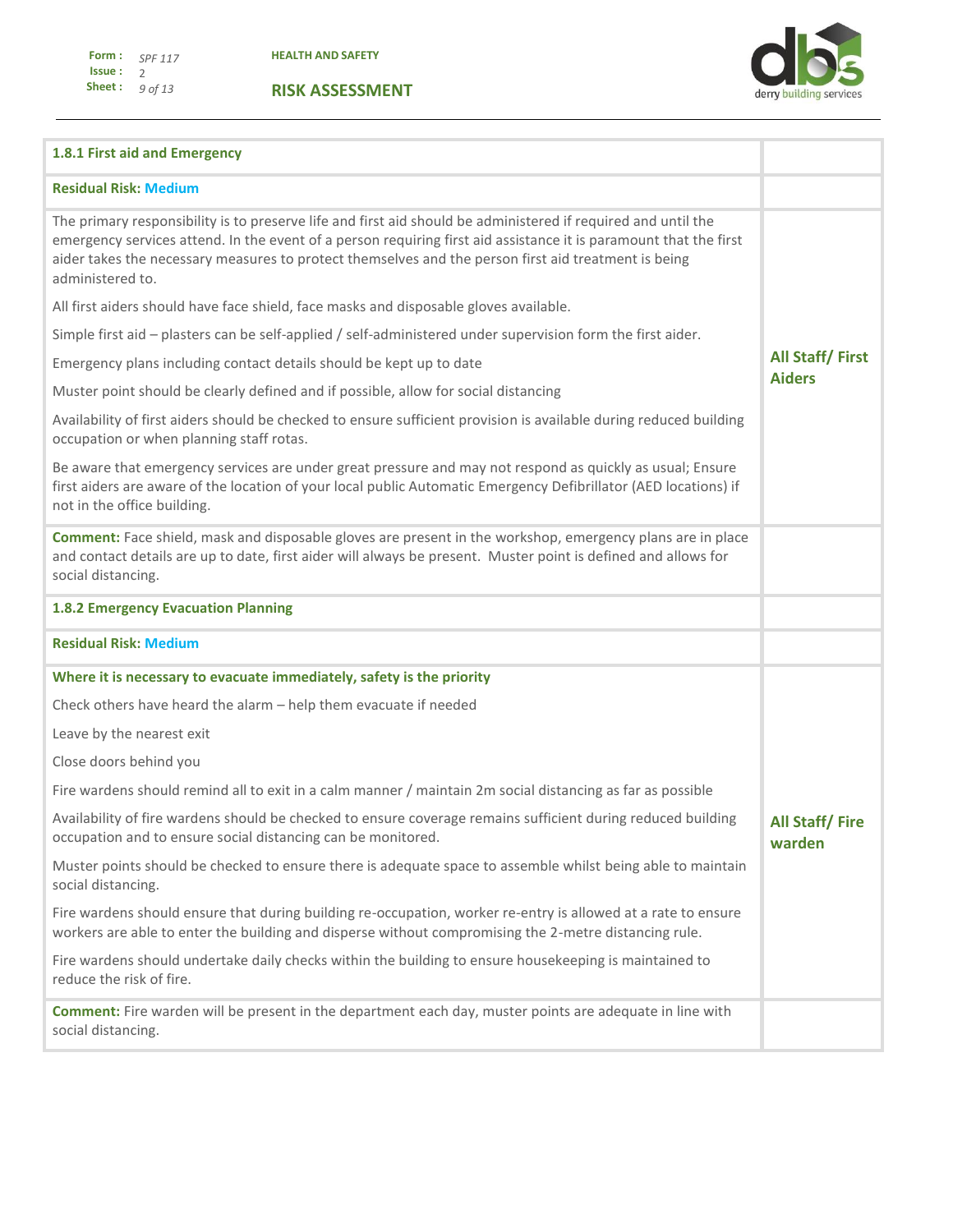**1.8.1 First aid and Emergency** 

**Residual Risk: Medium** 

**RISK ASSESSMENT**



## The primary responsibility is to preserve life and first aid should be administered if required and until the emergency services attend. In the event of a person requiring first aid assistance it is paramount that the first aider takes the necessary measures to protect themselves and the person first aid treatment is being administered to. All first aiders should have face shield, face masks and disposable gloves available. Simple first aid – plasters can be self-applied / self-administered under supervision form the first aider. Emergency plans including contact details should be kept up to date Muster point should be clearly defined and if possible, allow for social distancing Availability of first aiders should be checked to ensure sufficient provision is available during reduced building occupation or when planning staff rotas. Be aware that emergency services are under great pressure and may not respond as quickly as usual; Ensure first aiders are aware of the location of your local public Automatic Emergency Defibrillator (AED locations) if not in the office building. **All Staff/ First Aiders Comment:** Face shield, mask and disposable gloves are present in the workshop, emergency plans are in place and contact details are up to date, first aider will always be present. Muster point is defined and allows for social distancing. **1.8.2 Emergency Evacuation Planning Residual Risk: Medium Where it is necessary to evacuate immediately, safety is the priority** Check others have heard the alarm – help them evacuate if needed Leave by the nearest exit Close doors behind you Fire wardens should remind all to exit in a calm manner / maintain 2m social distancing as far as possible Availability of fire wardens should be checked to ensure coverage remains sufficient during reduced building occupation and to ensure social distancing can be monitored. Muster points should be checked to ensure there is adequate space to assemble whilst being able to maintain social distancing. Fire wardens should ensure that during building re-occupation, worker re-entry is allowed at a rate to ensure workers are able to enter the building and disperse without compromising the 2-metre distancing rule. Fire wardens should undertake daily checks within the building to ensure housekeeping is maintained to reduce the risk of fire. **All Staff/ Fire warden Comment:** Fire warden will be present in the department each day, muster points are adequate in line with

social distancing.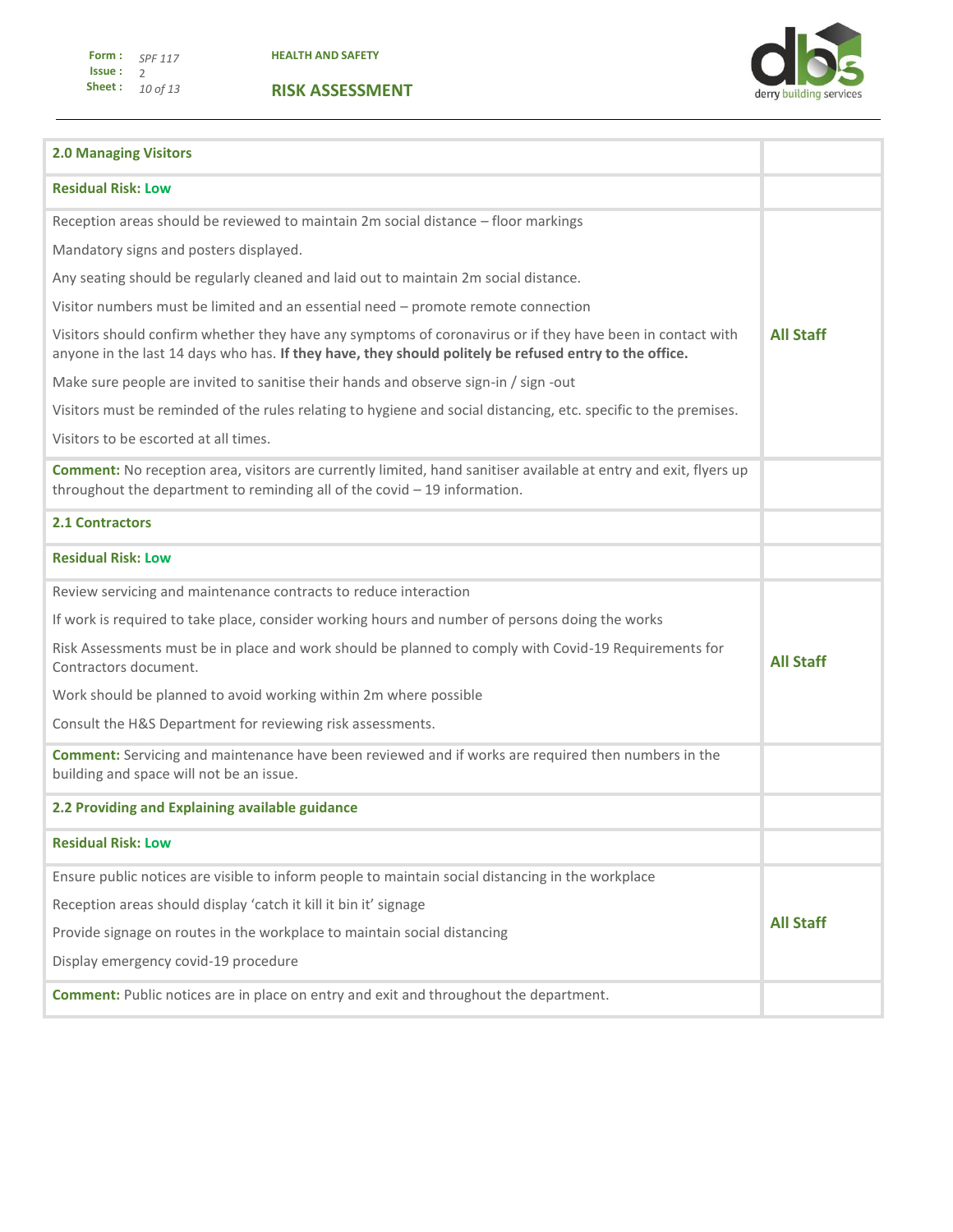**HEALTH AND SAFETY**



| <b>2.0 Managing Visitors</b>                                                                                                                                                                                         |                  |
|----------------------------------------------------------------------------------------------------------------------------------------------------------------------------------------------------------------------|------------------|
| <b>Residual Risk: Low</b>                                                                                                                                                                                            |                  |
| Reception areas should be reviewed to maintain 2m social distance - floor markings                                                                                                                                   |                  |
| Mandatory signs and posters displayed.                                                                                                                                                                               |                  |
| Any seating should be regularly cleaned and laid out to maintain 2m social distance.                                                                                                                                 |                  |
| Visitor numbers must be limited and an essential need - promote remote connection                                                                                                                                    |                  |
| Visitors should confirm whether they have any symptoms of coronavirus or if they have been in contact with<br>anyone in the last 14 days who has. If they have, they should politely be refused entry to the office. | <b>All Staff</b> |
| Make sure people are invited to sanitise their hands and observe sign-in / sign -out                                                                                                                                 |                  |
| Visitors must be reminded of the rules relating to hygiene and social distancing, etc. specific to the premises.                                                                                                     |                  |
| Visitors to be escorted at all times.                                                                                                                                                                                |                  |
| <b>Comment:</b> No reception area, visitors are currently limited, hand sanitiser available at entry and exit, flyers up<br>throughout the department to reminding all of the covid $-19$ information.               |                  |
| <b>2.1 Contractors</b>                                                                                                                                                                                               |                  |
| <b>Residual Risk: Low</b>                                                                                                                                                                                            |                  |
| Review servicing and maintenance contracts to reduce interaction                                                                                                                                                     |                  |
| If work is required to take place, consider working hours and number of persons doing the works                                                                                                                      |                  |
| Risk Assessments must be in place and work should be planned to comply with Covid-19 Requirements for<br>Contractors document.                                                                                       | <b>All Staff</b> |
| Work should be planned to avoid working within 2m where possible                                                                                                                                                     |                  |
| Consult the H&S Department for reviewing risk assessments.                                                                                                                                                           |                  |
| <b>Comment:</b> Servicing and maintenance have been reviewed and if works are required then numbers in the<br>building and space will not be an issue.                                                               |                  |
| 2.2 Providing and Explaining available guidance                                                                                                                                                                      |                  |
| <b>Residual Risk: Low</b>                                                                                                                                                                                            |                  |
| Ensure public notices are visible to inform people to maintain social distancing in the workplace                                                                                                                    |                  |
| Reception areas should display 'catch it kill it bin it' signage                                                                                                                                                     |                  |
| Provide signage on routes in the workplace to maintain social distancing                                                                                                                                             | <b>All Staff</b> |
| Display emergency covid-19 procedure                                                                                                                                                                                 |                  |
| <b>Comment:</b> Public notices are in place on entry and exit and throughout the department.                                                                                                                         |                  |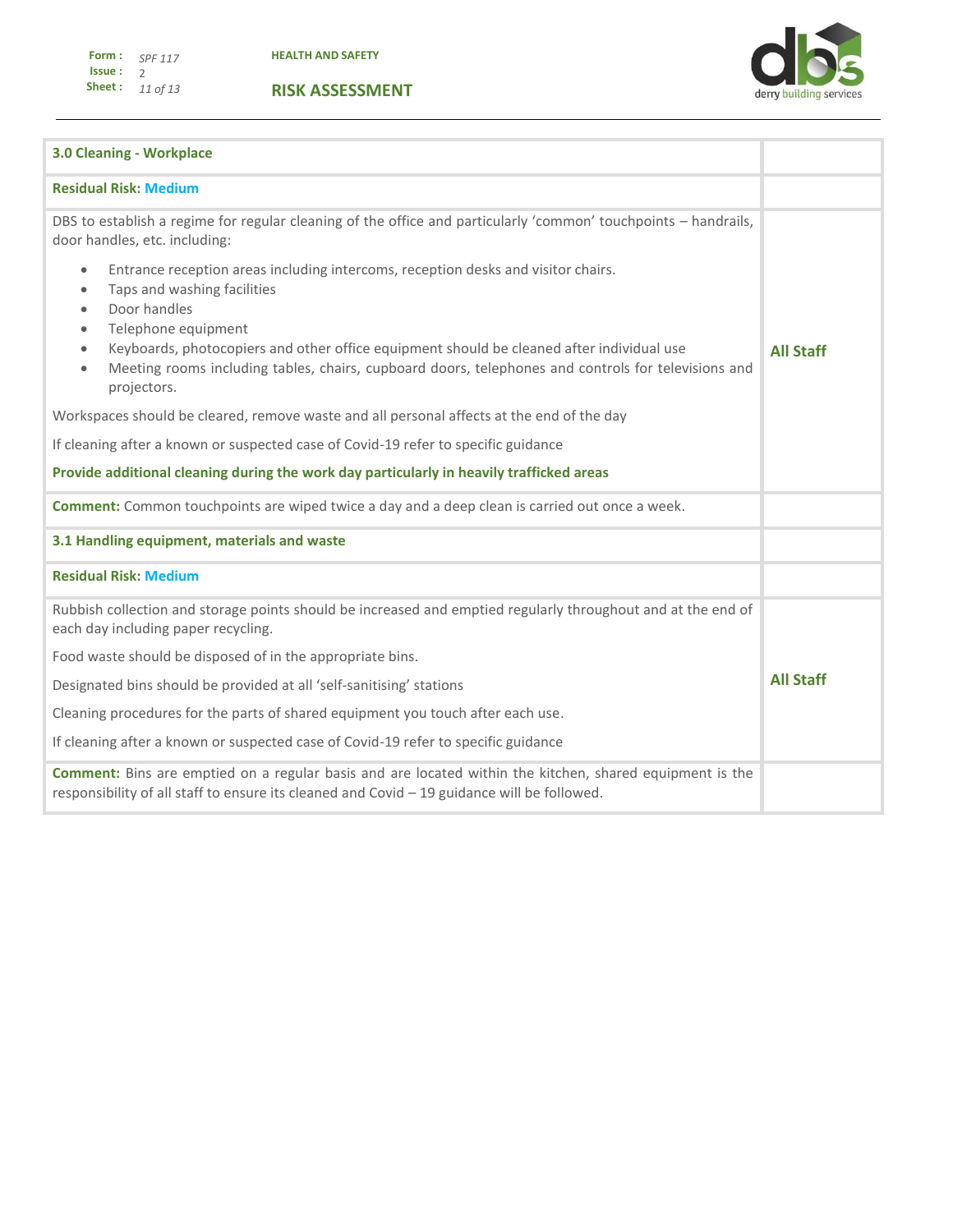derry building services

T.

Ŧ

| <b>3.0 Cleaning - Workplace</b>                                                                                                                                                                                                                                                                                                                                                                                                                          |  |  |  |
|----------------------------------------------------------------------------------------------------------------------------------------------------------------------------------------------------------------------------------------------------------------------------------------------------------------------------------------------------------------------------------------------------------------------------------------------------------|--|--|--|
| <b>Residual Risk: Medium</b>                                                                                                                                                                                                                                                                                                                                                                                                                             |  |  |  |
| DBS to establish a regime for regular cleaning of the office and particularly 'common' touchpoints - handrails,<br>door handles, etc. including:                                                                                                                                                                                                                                                                                                         |  |  |  |
| Entrance reception areas including intercoms, reception desks and visitor chairs.<br>$\bullet$<br>Taps and washing facilities<br>$\bullet$<br>Door handles<br>$\bullet$<br>Telephone equipment<br>$\bullet$<br>Keyboards, photocopiers and other office equipment should be cleaned after individual use<br>$\bullet$<br>Meeting rooms including tables, chairs, cupboard doors, telephones and controls for televisions and<br>$\bullet$<br>projectors. |  |  |  |
| Workspaces should be cleared, remove waste and all personal affects at the end of the day                                                                                                                                                                                                                                                                                                                                                                |  |  |  |
| If cleaning after a known or suspected case of Covid-19 refer to specific guidance                                                                                                                                                                                                                                                                                                                                                                       |  |  |  |
| Provide additional cleaning during the work day particularly in heavily trafficked areas                                                                                                                                                                                                                                                                                                                                                                 |  |  |  |
| <b>Comment:</b> Common touchpoints are wiped twice a day and a deep clean is carried out once a week.                                                                                                                                                                                                                                                                                                                                                    |  |  |  |
| 3.1 Handling equipment, materials and waste                                                                                                                                                                                                                                                                                                                                                                                                              |  |  |  |
| <b>Residual Risk: Medium</b>                                                                                                                                                                                                                                                                                                                                                                                                                             |  |  |  |
| Rubbish collection and storage points should be increased and emptied regularly throughout and at the end of<br>each day including paper recycling.                                                                                                                                                                                                                                                                                                      |  |  |  |
| Food waste should be disposed of in the appropriate bins.                                                                                                                                                                                                                                                                                                                                                                                                |  |  |  |
| Designated bins should be provided at all 'self-sanitising' stations                                                                                                                                                                                                                                                                                                                                                                                     |  |  |  |
| Cleaning procedures for the parts of shared equipment you touch after each use.                                                                                                                                                                                                                                                                                                                                                                          |  |  |  |
| If cleaning after a known or suspected case of Covid-19 refer to specific guidance                                                                                                                                                                                                                                                                                                                                                                       |  |  |  |
| <b>Comment:</b> Bins are emptied on a regular basis and are located within the kitchen, shared equipment is the<br>responsibility of all staff to ensure its cleaned and Covid - 19 guidance will be followed.                                                                                                                                                                                                                                           |  |  |  |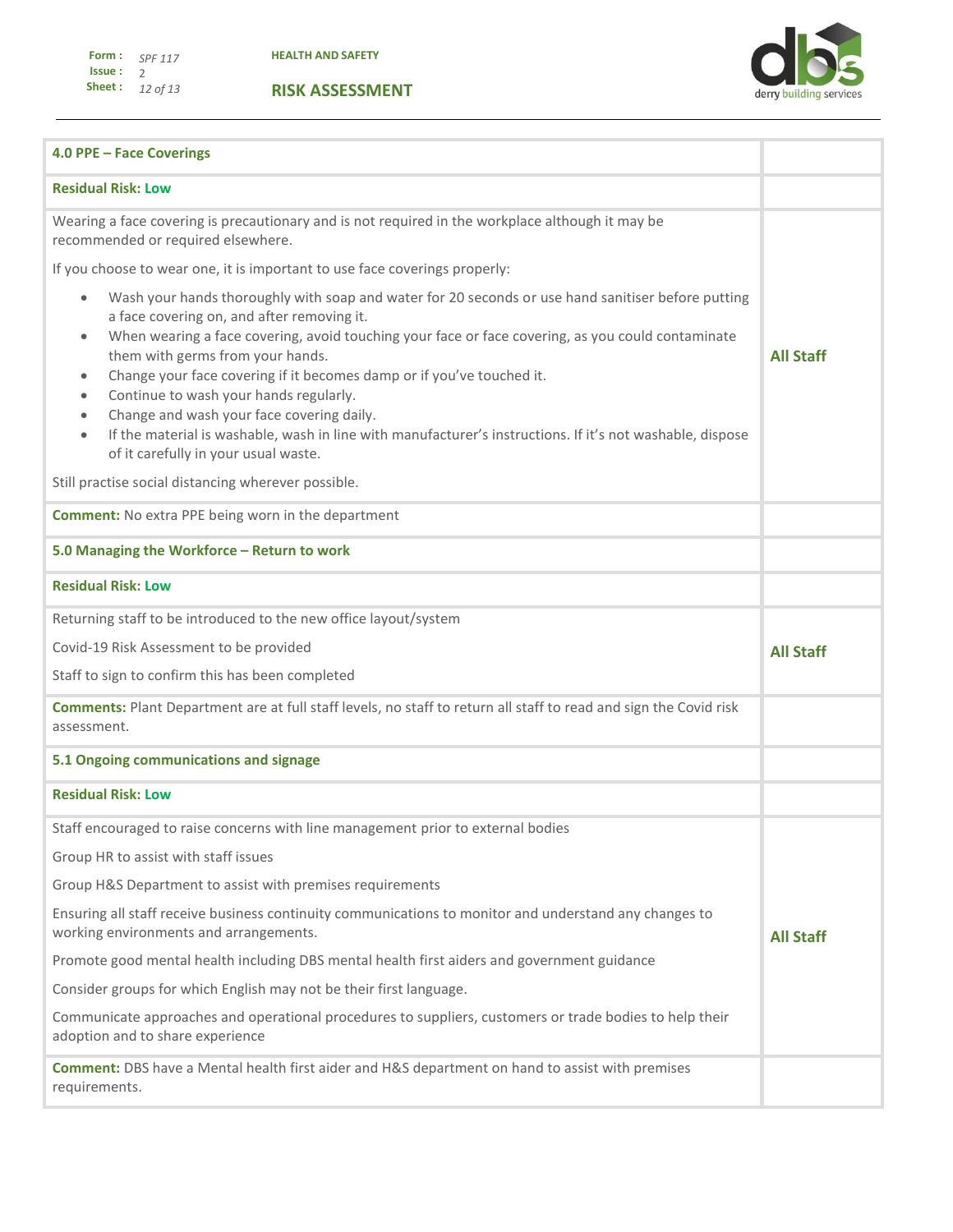derry building services

| 4.0 PPE - Face Coverings                                                                                                                                                                                                                                                                                                                                                                                                                                                                                                                                                                                                                                                                                                                            |                  |
|-----------------------------------------------------------------------------------------------------------------------------------------------------------------------------------------------------------------------------------------------------------------------------------------------------------------------------------------------------------------------------------------------------------------------------------------------------------------------------------------------------------------------------------------------------------------------------------------------------------------------------------------------------------------------------------------------------------------------------------------------------|------------------|
| <b>Residual Risk: Low</b>                                                                                                                                                                                                                                                                                                                                                                                                                                                                                                                                                                                                                                                                                                                           |                  |
| Wearing a face covering is precautionary and is not required in the workplace although it may be<br>recommended or required elsewhere.                                                                                                                                                                                                                                                                                                                                                                                                                                                                                                                                                                                                              |                  |
| If you choose to wear one, it is important to use face coverings properly:                                                                                                                                                                                                                                                                                                                                                                                                                                                                                                                                                                                                                                                                          |                  |
| Wash your hands thoroughly with soap and water for 20 seconds or use hand sanitiser before putting<br>$\bullet$<br>a face covering on, and after removing it.<br>When wearing a face covering, avoid touching your face or face covering, as you could contaminate<br>$\bullet$<br>them with germs from your hands.<br>Change your face covering if it becomes damp or if you've touched it.<br>$\bullet$<br>Continue to wash your hands regularly.<br>$\bullet$<br>Change and wash your face covering daily.<br>$\bullet$<br>If the material is washable, wash in line with manufacturer's instructions. If it's not washable, dispose<br>$\bullet$<br>of it carefully in your usual waste.<br>Still practise social distancing wherever possible. | <b>All Staff</b> |
| <b>Comment:</b> No extra PPE being worn in the department                                                                                                                                                                                                                                                                                                                                                                                                                                                                                                                                                                                                                                                                                           |                  |
| 5.0 Managing the Workforce - Return to work                                                                                                                                                                                                                                                                                                                                                                                                                                                                                                                                                                                                                                                                                                         |                  |
| <b>Residual Risk: Low</b>                                                                                                                                                                                                                                                                                                                                                                                                                                                                                                                                                                                                                                                                                                                           |                  |
| Returning staff to be introduced to the new office layout/system                                                                                                                                                                                                                                                                                                                                                                                                                                                                                                                                                                                                                                                                                    |                  |
| Covid-19 Risk Assessment to be provided                                                                                                                                                                                                                                                                                                                                                                                                                                                                                                                                                                                                                                                                                                             | <b>All Staff</b> |
| Staff to sign to confirm this has been completed                                                                                                                                                                                                                                                                                                                                                                                                                                                                                                                                                                                                                                                                                                    |                  |
| Comments: Plant Department are at full staff levels, no staff to return all staff to read and sign the Covid risk<br>assessment.                                                                                                                                                                                                                                                                                                                                                                                                                                                                                                                                                                                                                    |                  |
| 5.1 Ongoing communications and signage                                                                                                                                                                                                                                                                                                                                                                                                                                                                                                                                                                                                                                                                                                              |                  |
| <b>Residual Risk: Low</b>                                                                                                                                                                                                                                                                                                                                                                                                                                                                                                                                                                                                                                                                                                                           |                  |
| Staff encouraged to raise concerns with line management prior to external bodies                                                                                                                                                                                                                                                                                                                                                                                                                                                                                                                                                                                                                                                                    |                  |
| Group HR to assist with staff issues                                                                                                                                                                                                                                                                                                                                                                                                                                                                                                                                                                                                                                                                                                                |                  |
| Group H&S Department to assist with premises requirements                                                                                                                                                                                                                                                                                                                                                                                                                                                                                                                                                                                                                                                                                           |                  |
| Ensuring all staff receive business continuity communications to monitor and understand any changes to<br>working environments and arrangements.                                                                                                                                                                                                                                                                                                                                                                                                                                                                                                                                                                                                    | <b>All Staff</b> |
| Promote good mental health including DBS mental health first aiders and government guidance                                                                                                                                                                                                                                                                                                                                                                                                                                                                                                                                                                                                                                                         |                  |
| Consider groups for which English may not be their first language.                                                                                                                                                                                                                                                                                                                                                                                                                                                                                                                                                                                                                                                                                  |                  |
| Communicate approaches and operational procedures to suppliers, customers or trade bodies to help their<br>adoption and to share experience                                                                                                                                                                                                                                                                                                                                                                                                                                                                                                                                                                                                         |                  |
| Comment: DBS have a Mental health first aider and H&S department on hand to assist with premises<br>requirements.                                                                                                                                                                                                                                                                                                                                                                                                                                                                                                                                                                                                                                   |                  |